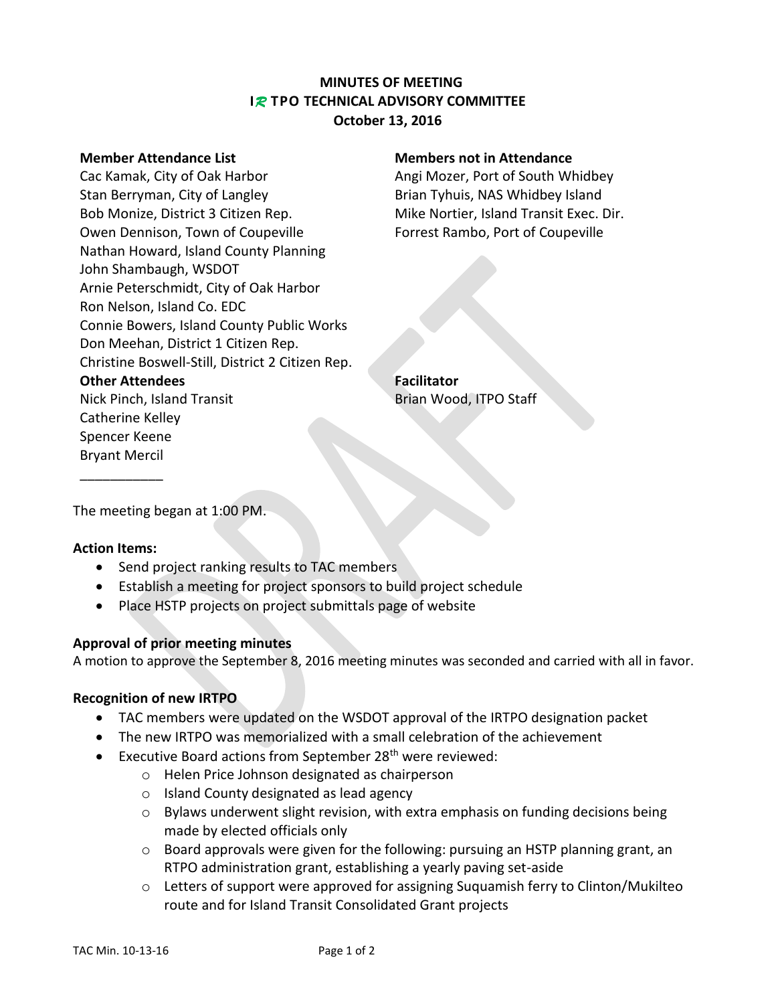# **MINUTES OF MEETING I***R* **TPO TECHNICAL ADVISORY COMMITTEE October 13, 2016**

Cac Kamak, City of Oak Harbor **Angi Mozer, Port of South Whidbey** Stan Berryman, City of Langley Brian Tyhuis, NAS Whidbey Island Bob Monize, District 3 Citizen Rep. Mike Nortier, Island Transit Exec. Dir. Owen Dennison, Town of Coupeville Forrest Rambo, Port of Coupeville Nathan Howard, Island County Planning John Shambaugh, WSDOT Arnie Peterschmidt, City of Oak Harbor Ron Nelson, Island Co. EDC Connie Bowers, Island County Public Works Don Meehan, District 1 Citizen Rep. Christine Boswell-Still, District 2 Citizen Rep. **Other Attendees Facilitator** Nick Pinch, Island Transit Brian Wood, ITPO Staff Catherine Kelley Spencer Keene

### **Member Attendance List Members not in Attendance**

The meeting began at 1:00 PM.

# **Action Items:**

Bryant Mercil \_\_\_\_\_\_\_\_\_\_\_

- Send project ranking results to TAC members
- Establish a meeting for project sponsors to build project schedule
- Place HSTP projects on project submittals page of website

# **Approval of prior meeting minutes**

A motion to approve the September 8, 2016 meeting minutes was seconded and carried with all in favor.

# **Recognition of new IRTPO**

- TAC members were updated on the WSDOT approval of the IRTPO designation packet
- The new IRTPO was memorialized with a small celebration of the achievement
- Executive Board actions from September 28<sup>th</sup> were reviewed:
	- o Helen Price Johnson designated as chairperson
	- o Island County designated as lead agency
	- o Bylaws underwent slight revision, with extra emphasis on funding decisions being made by elected officials only
	- $\circ$  Board approvals were given for the following: pursuing an HSTP planning grant, an RTPO administration grant, establishing a yearly paving set-aside
	- $\circ$  Letters of support were approved for assigning Suquamish ferry to Clinton/Mukilteo route and for Island Transit Consolidated Grant projects